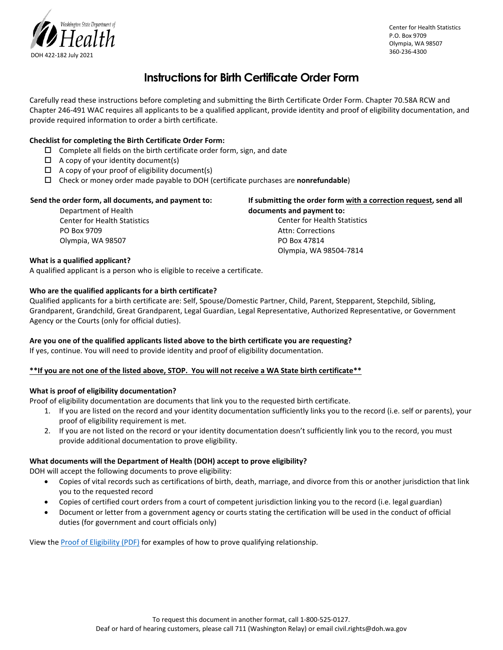

Center for Health Statistics P.O. Box 9709 Olympia, WA 98507 360-236-4300

## **Instructions for Birth Certificate Order Form**

Carefully read these instructions before completing and submitting the Birth Certificate Order Form. Chapter 70.58A RCW and Chapter 246-491 WAC requires all applicants to be a qualified applicant, provide identity and proof of eligibility documentation, and provide required information to order a birth certificate.

### **Checklist for completing the Birth Certificate Order Form:**

- $\square$  Complete all fields on the birth certificate order form, sign, and date
- $\Box$  A copy of your identity document(s)
- $\Box$  A copy of your proof of eligibility document(s)
- Check or money order made payable to DOH (certificate purchases are **nonrefundable**)

#### **Send the order form, all documents, and payment to:**  Department of Health Center for Health Statistics PO Box 9709 Olympia, WA 98507 **If submitting the order form with a correction request, send all documents and payment to:** Center for Health Statistics Attn: Corrections PO Box 47814 Olympia, WA 98504-7814

#### **What is a qualified applicant?**

A qualified applicant is a person who is eligible to receive a certificate.

#### **Who are the qualified applicants for a birth certificate?**

Qualified applicants for a birth certificate are: Self, Spouse/Domestic Partner, Child, Parent, Stepparent, Stepchild, Sibling, Grandparent, Grandchild, Great Grandparent, Legal Guardian, Legal Representative, Authorized Representative, or Government Agency or the Courts (only for official duties).

#### **Are you one of the qualified applicants listed above to the birth certificate you are requesting?**

If yes, continue. You will need to provide identity and proof of eligibility documentation.

#### **\*\*If you are not one of the listed above, STOP. You will not receive a WA State birth certificate\*\***

#### **What is proof of eligibility documentation?**

Proof of eligibility documentation are documents that link you to the requested birth certificate.

- 1. If you are listed on the record and your identity documentation sufficiently links you to the record (i.e. self or parents), your proof of eligibility requirement is met.
- 2. If you are not listed on the record or your identity documentation doesn't sufficiently link you to the record, you must provide additional documentation to prove eligibility.

#### **What documents will the Department of Health (DOH) accept to prove eligibility?**

DOH will accept the following documents to prove eligibility:

- Copies of vital records such as certifications of birth, death, marriage, and divorce from this or another jurisdiction that link you to the requested record
- Copies of certified court orders from a court of competent jurisdiction linking you to the record (i.e. legal guardian)
- Document or letter from a government agency or courts stating the certification will be used in the conduct of official duties (for government and court officials only)

View the [Proof of Eligibility \(PDF\)](https://www.doh.wa.gov/Portals/1/Documents/Pubs/422-178-AcceptableProofsOfEligibilityDocument.pdf) for examples of how to prove qualifying relationship.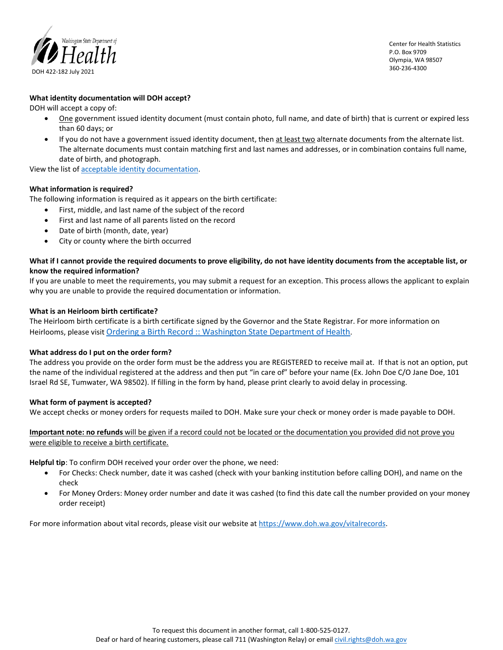

Center for Health Statistics P.O. Box 9709 Olympia, WA 98507 360-236-4300

#### **What identity documentation will DOH accept?**

DOH will accept a copy of:

- One government issued identity document (must contain photo, full name, and date of birth) that is current or expired less than 60 days; or
- If you do not have a government issued identity document, then at least two alternate documents from the alternate list. The alternate documents must contain matching first and last names and addresses, or in combination contains full name, date of birth, and photograph.

View the list of [acceptable identity documentation.](https://www.doh.wa.gov/Portals/1/Documents/Pubs/422-177-AcceptableProofsOfIdentityDocuments.pdf) 

#### **What information is required?**

The following information is required as it appears on the birth certificate:

- First, middle, and last name of the subject of the record
- First and last name of all parents listed on the record
- Date of birth (month, date, year)
- City or county where the birth occurred

#### **What if I cannot provide the required documents to prove eligibility, do not have identity documents from the acceptable list, or know the required information?**

If you are unable to meet the requirements, you may submit a request for an exception. This process allows the applicant to explain why you are unable to provide the required documentation or information.

#### **What is an Heirloom birth certificate?**

The Heirloom birth certificate is a birth certificate signed by the Governor and the State Registrar. For more information on Heirlooms, please visi[t Ordering a Birth Record :: Washington State Department of Health.](https://www.doh.wa.gov/LicensesPermitsandCertificates/VitalRecords/OrderingaBirthRecord#heading58289) 

#### **What address do I put on the order form?**

The address you provide on the order form must be the address you are REGISTERED to receive mail at. If that is not an option, put the name of the individual registered at the address and then put "in care of" before your name (Ex. John Doe C/O Jane Doe, 101 Israel Rd SE, Tumwater, WA 98502). If filling in the form by hand, please print clearly to avoid delay in processing.

#### **What form of payment is accepted?**

We accept checks or money orders for requests mailed to DOH. Make sure your check or money order is made payable to DOH.

**Important note: no refunds** will be given if a record could not be located or the documentation you provided did not prove you were eligible to receive a birth certificate.

**Helpful tip**: To confirm DOH received your order over the phone, we need:

- For Checks: Check number, date it was cashed (check with your banking institution before calling DOH), and name on the check
- For Money Orders: Money order number and date it was cashed (to find this date call the number provided on your money order receipt)

For more information about vital records, please visit our website at [https://www.doh.wa.gov/vitalrecords.](https://www.doh.wa.gov/vitalrecords)